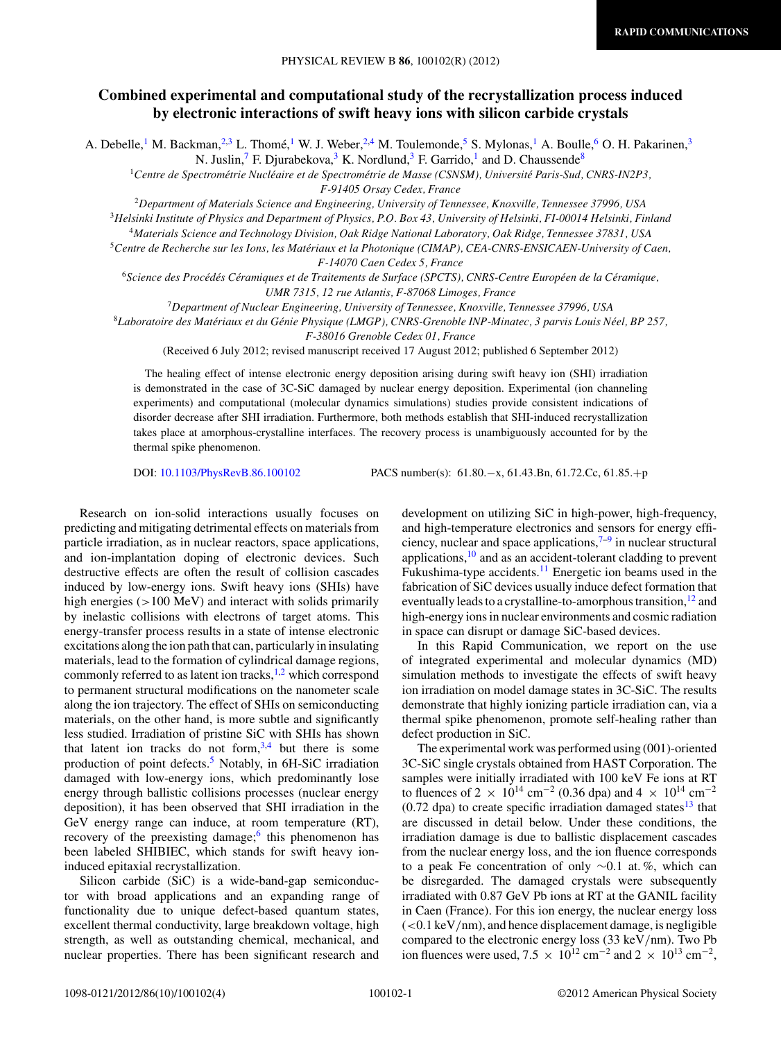## **Combined experimental and computational study of the recrystallization process induced by electronic interactions of swift heavy ions with silicon carbide crystals**

A. Debelle,<sup>1</sup> M. Backman,<sup>2,3</sup> L. Thomé,<sup>1</sup> W. J. Weber,<sup>2,4</sup> M. Toulemonde,<sup>5</sup> S. Mylonas,<sup>1</sup> A. Boulle,<sup>6</sup> O. H. Pakarinen,<sup>3</sup>

N. Juslin,<sup>7</sup> F. Djurabekova,<sup>3</sup> K. Nordlund,<sup>3</sup> F. Garrido,<sup>1</sup> and D. Chaussende<sup>8</sup>

<sup>1</sup> Centre de Spectrométrie Nucléaire et de Spectrométrie de Masse (CSNSM), Université Paris-Sud, CNRS-IN2P3, *F-91405 Orsay Cedex, France*

<sup>2</sup>*Department of Materials Science and Engineering, University of Tennessee, Knoxville, Tennessee 37996, USA*

<sup>3</sup>*Helsinki Institute of Physics and Department of Physics, P.O. Box 43, University of Helsinki, FI-00014 Helsinki, Finland*

<sup>4</sup>*Materials Science and Technology Division, Oak Ridge National Laboratory, Oak Ridge, Tennessee 37831, USA*

<sup>5</sup>*Centre de Recherche sur les Ions, les Materiaux et la Photonique (CIMAP), CEA-CNRS-ENSICAEN-University of Caen, ´ F-14070 Caen Cedex 5, France*

<sup>6</sup>*Science des Proced´ es C ´ eramiques et de Traitements de Surface (SPCTS), CNRS-Centre Europ ´ een de la C ´ eramique, ´ UMR 7315, 12 rue Atlantis, F-87068 Limoges, France*

<sup>7</sup>*Department of Nuclear Engineering, University of Tennessee, Knoxville, Tennessee 37996, USA*

<sup>8</sup>*Laboratoire des Materiaux et du G ´ enie Physique (LMGP), CNRS-Grenoble INP-Minatec, 3 parvis Louis N ´ eel, BP 257, ´*

*F-38016 Grenoble Cedex 01, France*

(Received 6 July 2012; revised manuscript received 17 August 2012; published 6 September 2012)

The healing effect of intense electronic energy deposition arising during swift heavy ion (SHI) irradiation is demonstrated in the case of 3C-SiC damaged by nuclear energy deposition. Experimental (ion channeling experiments) and computational (molecular dynamics simulations) studies provide consistent indications of disorder decrease after SHI irradiation. Furthermore, both methods establish that SHI-induced recrystallization takes place at amorphous-crystalline interfaces. The recovery process is unambiguously accounted for by the thermal spike phenomenon.

DOI: [10.1103/PhysRevB.86.100102](http://dx.doi.org/10.1103/PhysRevB.86.100102) PACS number(s): 61*.*80*.*−x, 61*.*43*.*Bn, 61*.*72*.*Cc, 61*.*85*.*+p

Research on ion-solid interactions usually focuses on predicting and mitigating detrimental effects on materials from particle irradiation, as in nuclear reactors, space applications, and ion-implantation doping of electronic devices. Such destructive effects are often the result of collision cascades induced by low-energy ions. Swift heavy ions (SHIs) have high energies ( $>100$  MeV) and interact with solids primarily by inelastic collisions with electrons of target atoms. This energy-transfer process results in a state of intense electronic excitations along the ion path that can, particularly in insulating materials, lead to the formation of cylindrical damage regions, commonly referred to as latent ion tracks, $1,2$  which correspond to permanent structural modifications on the nanometer scale along the ion trajectory. The effect of SHIs on semiconducting materials, on the other hand, is more subtle and significantly less studied. Irradiation of pristine SiC with SHIs has shown that latent ion tracks do not form,  $3,4$  but there is some production of point defects.<sup>[5](#page-3-0)</sup> Notably, in 6H-SiC irradiation damaged with low-energy ions, which predominantly lose energy through ballistic collisions processes (nuclear energy deposition), it has been observed that SHI irradiation in the GeV energy range can induce, at room temperature (RT), recovery of the preexisting damage; $<sup>6</sup>$  this phenomenon has</sup> been labeled SHIBIEC, which stands for swift heavy ioninduced epitaxial recrystallization.

Silicon carbide (SiC) is a wide-band-gap semiconductor with broad applications and an expanding range of functionality due to unique defect-based quantum states, excellent thermal conductivity, large breakdown voltage, high strength, as well as outstanding chemical, mechanical, and nuclear properties. There has been significant research and

development on utilizing SiC in high-power, high-frequency, and high-temperature electronics and sensors for energy efficiency, nuclear and space applications, $7-9$  in nuclear structural applications, $10$  and as an accident-tolerant cladding to prevent Fukushima-type accidents. $11$  Energetic ion beams used in the fabrication of SiC devices usually induce defect formation that eventually leads to a crystalline-to-amorphous transition, $^{12}$  $^{12}$  $^{12}$  and high-energy ions in nuclear environments and cosmic radiation in space can disrupt or damage SiC-based devices.

In this Rapid Communication, we report on the use of integrated experimental and molecular dynamics (MD) simulation methods to investigate the effects of swift heavy ion irradiation on model damage states in 3C-SiC. The results demonstrate that highly ionizing particle irradiation can, via a thermal spike phenomenon, promote self-healing rather than defect production in SiC.

The experimental work was performed using (001)-oriented 3C-SiC single crystals obtained from HAST Corporation. The samples were initially irradiated with 100 keV Fe ions at RT to fluences of 2  $\times$  10<sup>14</sup> cm<sup>-2</sup> (0.36 dpa) and 4  $\times$  10<sup>14</sup> cm<sup>-2</sup>  $(0.72 \text{ dpa})$  to create specific irradiation damaged states<sup>[13](#page-3-0)</sup> that are discussed in detail below. Under these conditions, the irradiation damage is due to ballistic displacement cascades from the nuclear energy loss, and the ion fluence corresponds to a peak Fe concentration of only ∼0.1 at. %, which can be disregarded. The damaged crystals were subsequently irradiated with 0.87 GeV Pb ions at RT at the GANIL facility in Caen (France). For this ion energy, the nuclear energy loss (*<*0.1 keV*/*nm), and hence displacement damage, is negligible compared to the electronic energy loss (33 keV*/*nm). Two Pb ion fluences were used, 7.5  $\times$  10<sup>12</sup> cm<sup>-2</sup> and 2  $\times$  10<sup>13</sup> cm<sup>-2</sup>,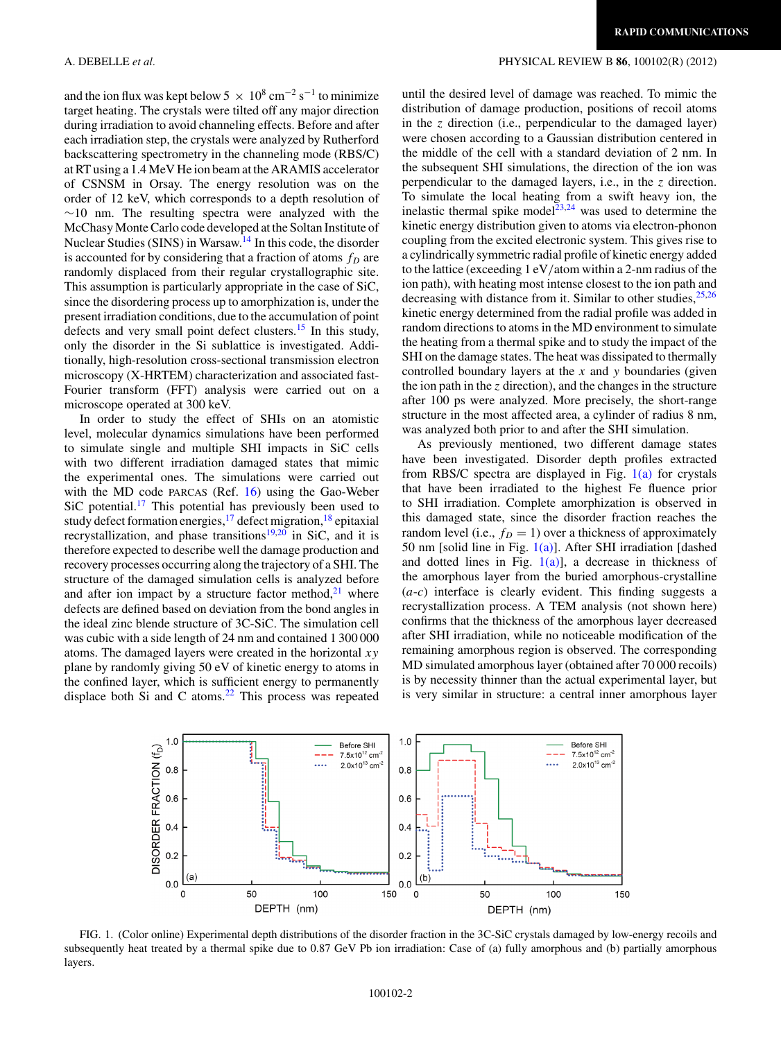and the ion flux was kept below 5  $\times$  10<sup>8</sup> cm<sup>-2</sup> s<sup>-1</sup> to minimize target heating. The crystals were tilted off any major direction during irradiation to avoid channeling effects. Before and after each irradiation step, the crystals were analyzed by Rutherford backscattering spectrometry in the channeling mode (RBS/C) at RT using a 1.4 MeV He ion beam at the ARAMIS accelerator of CSNSM in Orsay. The energy resolution was on the order of 12 keV, which corresponds to a depth resolution of ∼10 nm. The resulting spectra were analyzed with the McChasy Monte Carlo code developed at the Soltan Institute of Nuclear Studies (SINS) in Warsaw.<sup>14</sup> In this code, the disorder is accounted for by considering that a fraction of atoms  $f_D$  are randomly displaced from their regular crystallographic site. This assumption is particularly appropriate in the case of SiC, since the disordering process up to amorphization is, under the present irradiation conditions, due to the accumulation of point defects and very small point defect clusters.<sup>15</sup> In this study, only the disorder in the Si sublattice is investigated. Additionally, high-resolution cross-sectional transmission electron microscopy (X-HRTEM) characterization and associated fast-Fourier transform (FFT) analysis were carried out on a microscope operated at 300 keV.

In order to study the effect of SHIs on an atomistic level, molecular dynamics simulations have been performed to simulate single and multiple SHI impacts in SiC cells with two different irradiation damaged states that mimic the experimental ones. The simulations were carried out with the MD code PARCAS (Ref. [16\)](#page-3-0) using the Gao-Weber  $SiC$  potential.<sup>17</sup> This potential has previously been used to study defect formation energies,<sup>[17](#page-3-0)</sup> defect migration,<sup>[18](#page-3-0)</sup> epitaxial recrystallization, and phase transitions $19,20$  in SiC, and it is therefore expected to describe well the damage production and recovery processes occurring along the trajectory of a SHI. The structure of the damaged simulation cells is analyzed before and after ion impact by a structure factor method, $21$  where defects are defined based on deviation from the bond angles in the ideal zinc blende structure of 3C-SiC. The simulation cell was cubic with a side length of 24 nm and contained 1 300 000 atoms. The damaged layers were created in the horizontal *xy* plane by randomly giving 50 eV of kinetic energy to atoms in the confined layer, which is sufficient energy to permanently displace both Si and C atoms. $^{22}$  $^{22}$  $^{22}$  This process was repeated

## <span id="page-1-0"></span>A. DEBELLE *et al.* PHYSICAL REVIEW B **86**, 100102(R) (2012)

until the desired level of damage was reached. To mimic the distribution of damage production, positions of recoil atoms in the *z* direction (i.e., perpendicular to the damaged layer) were chosen according to a Gaussian distribution centered in the middle of the cell with a standard deviation of 2 nm. In the subsequent SHI simulations, the direction of the ion was perpendicular to the damaged layers, i.e., in the *z* direction. To simulate the local heating from a swift heavy ion, the inelastic thermal spike model<sup>23,24</sup> was used to determine the kinetic energy distribution given to atoms via electron-phonon coupling from the excited electronic system. This gives rise to a cylindrically symmetric radial profile of kinetic energy added to the lattice (exceeding 1 eV*/*atom within a 2-nm radius of the ion path), with heating most intense closest to the ion path and decreasing with distance from it. Similar to other studies,  $25,26$ kinetic energy determined from the radial profile was added in random directions to atoms in the MD environment to simulate the heating from a thermal spike and to study the impact of the SHI on the damage states. The heat was dissipated to thermally controlled boundary layers at the *x* and *y* boundaries (given the ion path in the *z* direction), and the changes in the structure after 100 ps were analyzed. More precisely, the short-range structure in the most affected area, a cylinder of radius 8 nm, was analyzed both prior to and after the SHI simulation.

As previously mentioned, two different damage states have been investigated. Disorder depth profiles extracted from RBS/C spectra are displayed in Fig.  $1(a)$  for crystals that have been irradiated to the highest Fe fluence prior to SHI irradiation. Complete amorphization is observed in this damaged state, since the disorder fraction reaches the random level (i.e.,  $f_D = 1$ ) over a thickness of approximately 50 nm [solid line in Fig.  $1(a)$ ]. After SHI irradiation [dashed and dotted lines in Fig.  $1(a)$ ], a decrease in thickness of the amorphous layer from the buried amorphous-crystalline (*a*-*c*) interface is clearly evident. This finding suggests a recrystallization process. A TEM analysis (not shown here) confirms that the thickness of the amorphous layer decreased after SHI irradiation, while no noticeable modification of the remaining amorphous region is observed. The corresponding MD simulated amorphous layer (obtained after 70 000 recoils) is by necessity thinner than the actual experimental layer, but is very similar in structure: a central inner amorphous layer



FIG. 1. (Color online) Experimental depth distributions of the disorder fraction in the 3C-SiC crystals damaged by low-energy recoils and subsequently heat treated by a thermal spike due to 0.87 GeV Pb ion irradiation: Case of (a) fully amorphous and (b) partially amorphous layers.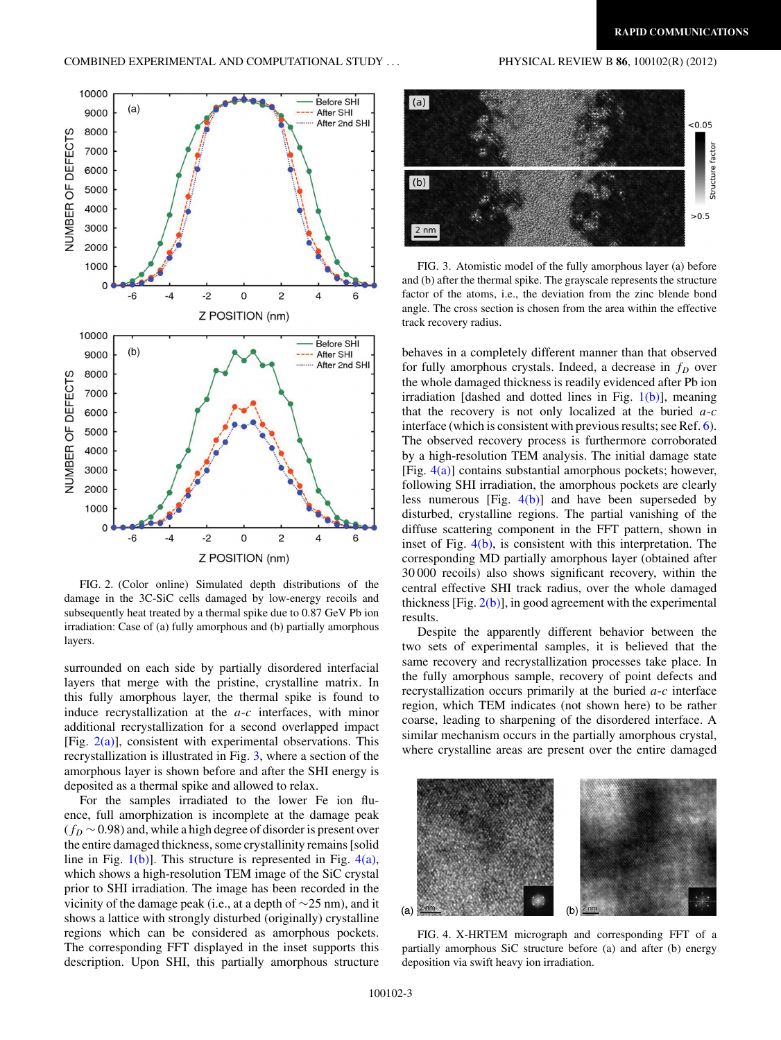

FIG. 2. (Color online) Simulated depth distributions of the damage in the 3C-SiC cells damaged by low-energy recoils and subsequently heat treated by a thermal spike due to 0.87 GeV Pb ion irradiation: Case of (a) fully amorphous and (b) partially amorphous layers.

surrounded on each side by partially disordered interfacial layers that merge with the pristine, crystalline matrix. In this fully amorphous layer, the thermal spike is found to induce recrystallization at the *a*-*c* interfaces, with minor additional recrystallization for a second overlapped impact [Fig.  $2(a)$ ], consistent with experimental observations. This recrystallization is illustrated in Fig. 3, where a section of the amorphous layer is shown before and after the SHI energy is deposited as a thermal spike and allowed to relax.

For the samples irradiated to the lower Fe ion fluence, full amorphization is incomplete at the damage peak (*fD* ∼ 0.98) and, while a high degree of disorder is present over the entire damaged thickness, some crystallinity remains [solid line in Fig.  $1(b)$ ]. This structure is represented in Fig.  $4(a)$ , which shows a high-resolution TEM image of the SiC crystal prior to SHI irradiation. The image has been recorded in the vicinity of the damage peak (i.e., at a depth of ∼25 nm), and it shows a lattice with strongly disturbed (originally) crystalline regions which can be considered as amorphous pockets. The corresponding FFT displayed in the inset supports this description. Upon SHI, this partially amorphous structure



FIG. 3. Atomistic model of the fully amorphous layer (a) before and (b) after the thermal spike. The grayscale represents the structure factor of the atoms, i.e., the deviation from the zinc blende bond angle. The cross section is chosen from the area within the effective track recovery radius.

behaves in a completely different manner than that observed for fully amorphous crystals. Indeed, a decrease in  $f<sub>D</sub>$  over the whole damaged thickness is readily evidenced after Pb ion irradiation [dashed and dotted lines in Fig.  $1(b)$ ], meaning that the recovery is not only localized at the buried *a*-*c* interface (which is consistent with previous results; see Ref. [6\)](#page-3-0). The observed recovery process is furthermore corroborated by a high-resolution TEM analysis. The initial damage state [Fig.  $4(a)$ ] contains substantial amorphous pockets; however, following SHI irradiation, the amorphous pockets are clearly less numerous [Fig.  $4(b)$ ] and have been superseded by disturbed, crystalline regions. The partial vanishing of the diffuse scattering component in the FFT pattern, shown in inset of Fig.  $4(b)$ , is consistent with this interpretation. The corresponding MD partially amorphous layer (obtained after 30 000 recoils) also shows significant recovery, within the central effective SHI track radius, over the whole damaged thickness  $[Fig. 2(b)]$ , in good agreement with the experimental results.

Despite the apparently different behavior between the two sets of experimental samples, it is believed that the same recovery and recrystallization processes take place. In the fully amorphous sample, recovery of point defects and recrystallization occurs primarily at the buried *a*-*c* interface region, which TEM indicates (not shown here) to be rather coarse, leading to sharpening of the disordered interface. A similar mechanism occurs in the partially amorphous crystal, where crystalline areas are present over the entire damaged



FIG. 4. X-HRTEM micrograph and corresponding FFT of a partially amorphous SiC structure before (a) and after (b) energy deposition via swift heavy ion irradiation.